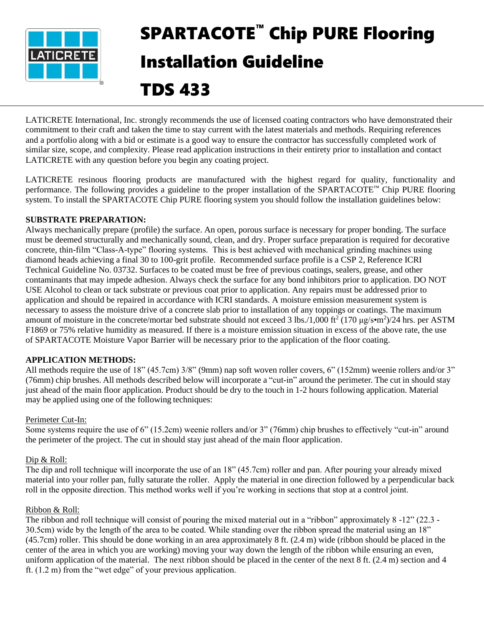

# SPARTACOTE™ Chip PURE Flooring Installation Guideline

# TDS 433

LATICRETE International, Inc. strongly recommends the use of licensed coating contractors who have demonstrated their commitment to their craft and taken the time to stay current with the latest materials and methods. Requiring references and a portfolio along with a bid or estimate is a good way to ensure the contractor has successfully completed work of similar size, scope, and complexity. Please read application instructions in their entirety prior to installation and contact LATICRETE with any question before you begin any coating project.

LATICRETE resinous flooring products are manufactured with the highest regard for quality, functionality and performance. The following provides a guideline to the proper installation of the SPARTACOTE™ Chip PURE flooring system. To install the SPARTACOTE Chip PURE flooring system you should follow the installation guidelines below:

# **SUBSTRATE PREPARATION:**

Always mechanically prepare (profile) the surface. An open, porous surface is necessary for proper bonding. The surface must be deemed structurally and mechanically sound, clean, and dry. Proper surface preparation is required for decorative concrete, thin-film "Class-A-type" flooring systems. This is best achieved with mechanical grinding machines using diamond heads achieving a final 30 to 100-grit profile. Recommended surface profile is a CSP 2, Reference ICRI Technical Guideline No. 03732. Surfaces to be coated must be free of previous coatings, sealers, grease, and other contaminants that may impede adhesion. Always check the surface for any bond inhibitors prior to application. DO NOT USE Alcohol to clean or tack substrate or previous coat prior to application. Any repairs must be addressed prior to application and should be repaired in accordance with ICRI standards. A moisture emission measurement system is necessary to assess the moisture drive of a concrete slab prior to installation of any toppings or coatings. The maximum amount of moisture in the concrete/mortar bed substrate should not exceed 3 lbs./1,000 ft<sup>2</sup> (170  $\mu$ g/s•m<sup>2</sup>)/24 hrs. per ASTM F1869 or 75% relative humidity as measured. If there is a moisture emission situation in excess of the above rate, the use of SPARTACOTE Moisture Vapor Barrier will be necessary prior to the application of the floor coating.

# **APPLICATION METHODS:**

All methods require the use of 18" (45.7cm) 3/8" (9mm) nap soft woven roller covers, 6" (152mm) weenie rollers and/or 3" (76mm) chip brushes. All methods described below will incorporate a "cut-in" around the perimeter. The cut in should stay just ahead of the main floor application. Product should be dry to the touch in 1-2 hours following application. Material may be applied using one of the following techniques:

# Perimeter Cut-In:

Some systems require the use of 6" (15.2cm) weenie rollers and/or 3" (76mm) chip brushes to effectively "cut-in" around the perimeter of the project. The cut in should stay just ahead of the main floor application.

# Dip & Roll:

The dip and roll technique will incorporate the use of an 18" (45.7cm) roller and pan. After pouring your already mixed material into your roller pan, fully saturate the roller. Apply the material in one direction followed by a perpendicular back roll in the opposite direction. This method works well if you're working in sections that stop at a control joint.

# Ribbon & Roll:

The ribbon and roll technique will consist of pouring the mixed material out in a "ribbon" approximately 8 -12" (22.3 - 30.5cm) wide by the length of the area to be coated. While standing over the ribbon spread the material using an 18" (45.7cm) roller. This should be done working in an area approximately 8 ft. (2.4 m) wide (ribbon should be placed in the center of the area in which you are working) moving your way down the length of the ribbon while ensuring an even, uniform application of the material. The next ribbon should be placed in the center of the next 8 ft. (2.4 m) section and 4 ft. (1.2 m) from the "wet edge" of your previous application.